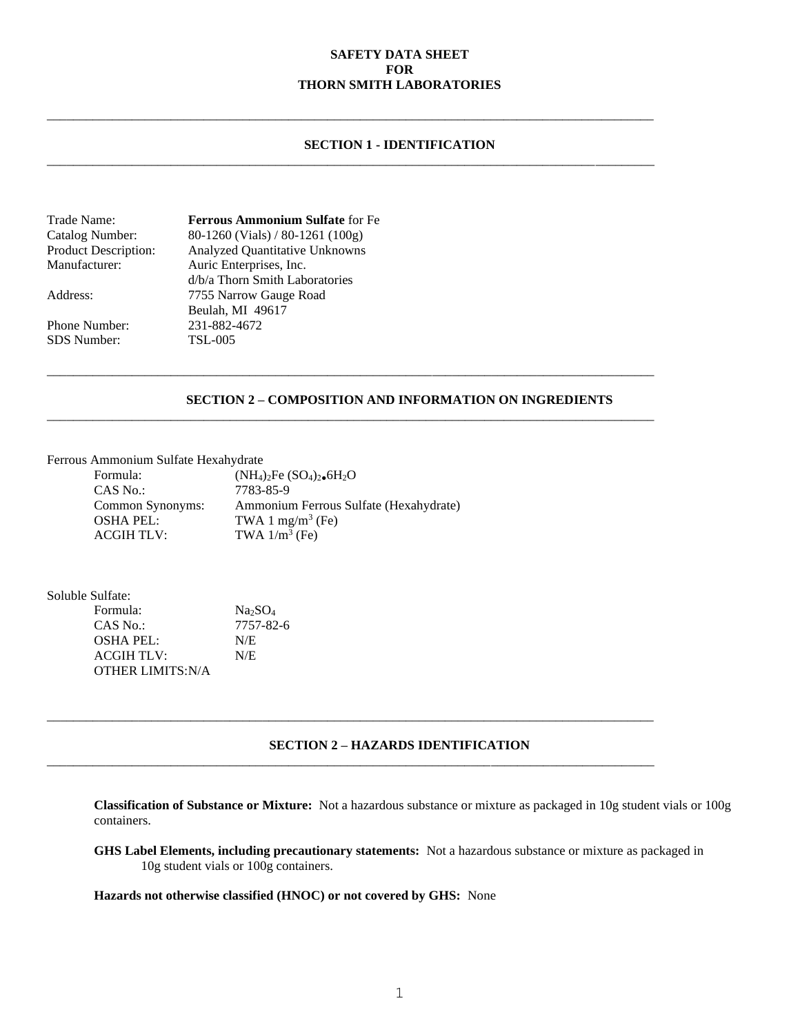### **SAFETY DATA SHEET FOR THORN SMITH LABORATORIES**

# **SECTION 1 - IDENTIFICATION**

\_\_\_\_\_\_\_\_\_\_\_\_\_\_\_\_\_\_\_\_\_\_\_\_\_\_\_\_\_\_\_\_\_\_\_\_\_\_\_\_\_\_\_\_\_\_\_\_\_\_\_\_\_\_\_\_\_\_\_\_\_\_\_\_\_\_\_\_\_\_\_\_\_\_\_\_\_\_\_\_\_\_\_\_\_\_\_\_\_\_\_\_\_

\_\_\_\_\_\_\_\_\_\_\_\_\_\_\_\_\_\_\_\_\_\_\_\_\_\_\_\_\_\_\_\_\_\_\_\_\_\_\_\_\_\_\_\_\_\_\_\_\_\_\_\_\_\_\_\_\_\_\_\_\_\_\_\_\_\_\_\_\_\_\_\_\_\_\_\_\_\_\_\_\_\_\_\_\_\_\_\_\_\_\_\_\_

 $\overline{a_1}$  ,  $\overline{a_2}$  ,  $\overline{a_3}$  ,  $\overline{a_4}$  ,  $\overline{a_5}$  ,  $\overline{a_6}$  ,  $\overline{a_7}$  ,  $\overline{a_8}$  ,  $\overline{a_9}$  ,  $\overline{a_9}$  ,  $\overline{a_9}$  ,  $\overline{a_9}$  ,  $\overline{a_9}$  ,  $\overline{a_9}$  ,  $\overline{a_9}$  ,  $\overline{a_9}$  ,  $\overline{a_9}$  ,

 $\_$  ,  $\_$  ,  $\_$  ,  $\_$  ,  $\_$  ,  $\_$  ,  $\_$  ,  $\_$  ,  $\_$  ,  $\_$  ,  $\_$  ,  $\_$  ,  $\_$  ,  $\_$  ,  $\_$  ,  $\_$  ,  $\_$  ,  $\_$  ,  $\_$  ,  $\_$  ,  $\_$  ,  $\_$  ,  $\_$  ,  $\_$  ,  $\_$  ,  $\_$  ,  $\_$  ,  $\_$  ,  $\_$  ,  $\_$  ,  $\_$  ,  $\_$  ,  $\_$  ,  $\_$  ,  $\_$  ,  $\_$  ,  $\_$  ,

| Trade Name:          | <b>Ferrous Ammonium Sulfate for Fe</b> |
|----------------------|----------------------------------------|
| Catalog Number:      | 80-1260 (Vials) / 80-1261 (100g)       |
| Product Description: | <b>Analyzed Quantitative Unknowns</b>  |
| Manufacturer:        | Auric Enterprises, Inc.                |
|                      | d/b/a Thorn Smith Laboratories         |
| Address:             | 7755 Narrow Gauge Road                 |
|                      | Beulah, MI 49617                       |
| <b>Phone Number:</b> | 231-882-4672                           |
| <b>SDS</b> Number:   | <b>TSL-005</b>                         |
|                      |                                        |

#### **SECTION 2 – COMPOSITION AND INFORMATION ON INGREDIENTS**

# Ferrous Ammonium Sulfate Hexahydrate

| $(NH_4)_2Fe(SO_4)_2\bullet 6H_2O$      |
|----------------------------------------|
| 7783-85-9                              |
| Ammonium Ferrous Sulfate (Hexahydrate) |
| TWA 1 mg/m <sup>3</sup> (Fe)           |
| TWA $1/m^3$ (Fe)                       |
|                                        |

| Soluble Sulfate:  |                                 |
|-------------------|---------------------------------|
| Formula:          | Na <sub>2</sub> SO <sub>4</sub> |
| CAS No.:          | 7757-82-6                       |
| OSHA PEL:         | N/E                             |
| <b>ACGIH TLV:</b> | N/E                             |
| OTHER LIMITS:N/A  |                                 |

#### **SECTION 2 – HAZARDS IDENTIFICATION**

 $\_$  ,  $\_$  ,  $\_$  ,  $\_$  ,  $\_$  ,  $\_$  ,  $\_$  ,  $\_$  ,  $\_$  ,  $\_$  ,  $\_$  ,  $\_$  ,  $\_$  ,  $\_$  ,  $\_$  ,  $\_$  ,  $\_$  ,  $\_$  ,  $\_$  ,  $\_$  ,  $\_$  ,  $\_$  ,  $\_$  ,  $\_$  ,  $\_$  ,  $\_$  ,  $\_$  ,  $\_$  ,  $\_$  ,  $\_$  ,  $\_$  ,  $\_$  ,  $\_$  ,  $\_$  ,  $\_$  ,  $\_$  ,  $\_$  ,

\_\_\_\_\_\_\_\_\_\_\_\_\_\_\_\_\_\_\_\_\_\_\_\_\_\_\_\_\_\_\_\_\_\_\_\_\_\_\_\_\_\_\_\_\_\_\_\_\_\_\_\_\_\_\_\_\_\_\_\_\_\_\_\_\_\_\_\_\_\_\_\_\_\_\_\_\_\_\_\_\_\_\_\_\_\_\_\_\_\_\_\_\_

**Classification of Substance or Mixture:** Not a hazardous substance or mixture as packaged in 10g student vials or 100g containers.

**GHS Label Elements, including precautionary statements:** Not a hazardous substance or mixture as packaged in 10g student vials or 100g containers.

### **Hazards not otherwise classified (HNOC) or not covered by GHS:** None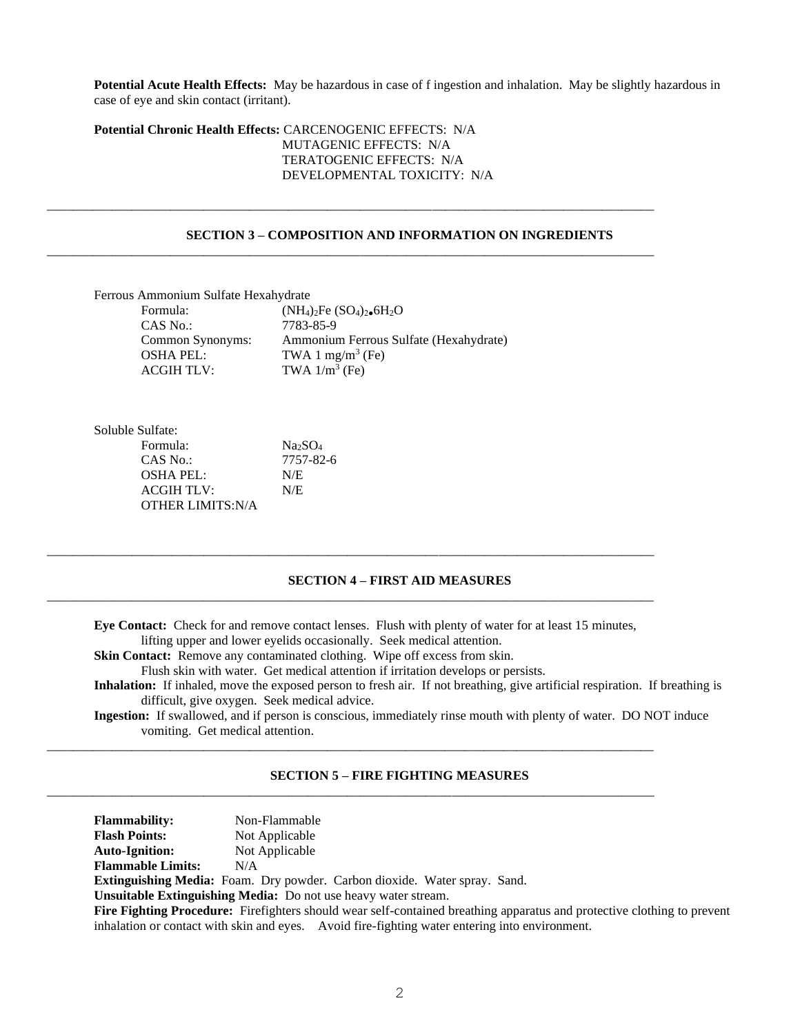**Potential Acute Health Effects:** May be hazardous in case of f ingestion and inhalation. May be slightly hazardous in case of eye and skin contact (irritant).

#### **Potential Chronic Health Effects:** CARCENOGENIC EFFECTS: N/A MUTAGENIC EFFECTS: N/A TERATOGENIC EFFECTS: N/A DEVELOPMENTAL TOXICITY: N/A

#### **SECTION 3 – COMPOSITION AND INFORMATION ON INGREDIENTS**

\_\_\_\_\_\_\_\_\_\_\_\_\_\_\_\_\_\_\_\_\_\_\_\_\_\_\_\_\_\_\_\_\_\_\_\_\_\_\_\_\_\_\_\_\_\_\_\_\_\_\_\_\_\_\_\_\_\_\_\_\_\_\_\_\_\_\_\_\_\_\_\_\_\_\_\_\_\_\_\_\_\_\_\_\_\_\_\_\_\_\_\_\_

\_\_\_\_\_\_\_\_\_\_\_\_\_\_\_\_\_\_\_\_\_\_\_\_\_\_\_\_\_\_\_\_\_\_\_\_\_\_\_\_\_\_\_\_\_\_\_\_\_\_\_\_\_\_\_\_\_\_\_\_\_\_\_\_\_\_\_\_\_\_\_\_\_\_\_\_\_\_\_\_\_\_\_\_\_\_\_\_\_\_\_\_\_

Ferrous Ammonium Sulfate Hexahydrate

| Formula:          | $(NH_4)$ <sub>2</sub> Fe $(SO_4)$ <sub>2</sub> $6H_2O$ |
|-------------------|--------------------------------------------------------|
| CAS No.:          | 7783-85-9                                              |
| Common Synonyms:  | Ammonium Ferrous Sulfate (Hexahydrate)                 |
| <b>OSHA PEL:</b>  | TWA $1 \text{ mg/m}^3$ (Fe)                            |
| <b>ACGIH TLV:</b> | TWA $1/m^3$ (Fe)                                       |

| Soluble Sulfate:         |                                 |
|--------------------------|---------------------------------|
| Formula:                 | Na <sub>2</sub> SO <sub>4</sub> |
| $CAS$ No.:               | 7757-82-6                       |
| <b>OSHA PEL:</b>         | N/E                             |
| <b>ACGIH TLV:</b>        | N/E                             |
| <b>OTHER LIMITS: N/A</b> |                                 |

#### **SECTION 4 – FIRST AID MEASURES**

**Eye Contact:** Check for and remove contact lenses. Flush with plenty of water for at least 15 minutes, lifting upper and lower eyelids occasionally. Seek medical attention.

 $\_$  ,  $\_$  ,  $\_$  ,  $\_$  ,  $\_$  ,  $\_$  ,  $\_$  ,  $\_$  ,  $\_$  ,  $\_$  ,  $\_$  ,  $\_$  ,  $\_$  ,  $\_$  ,  $\_$  ,  $\_$  ,  $\_$  ,  $\_$  ,  $\_$  ,  $\_$  ,  $\_$  ,  $\_$  ,  $\_$  ,  $\_$  ,  $\_$  ,  $\_$  ,  $\_$  ,  $\_$  ,  $\_$  ,  $\_$  ,  $\_$  ,  $\_$  ,  $\_$  ,  $\_$  ,  $\_$  ,  $\_$  ,  $\_$  ,

 $\_$  ,  $\_$  ,  $\_$  ,  $\_$  ,  $\_$  ,  $\_$  ,  $\_$  ,  $\_$  ,  $\_$  ,  $\_$  ,  $\_$  ,  $\_$  ,  $\_$  ,  $\_$  ,  $\_$  ,  $\_$  ,  $\_$  ,  $\_$  ,  $\_$  ,  $\_$  ,  $\_$  ,  $\_$  ,  $\_$  ,  $\_$  ,  $\_$  ,  $\_$  ,  $\_$  ,  $\_$  ,  $\_$  ,  $\_$  ,  $\_$  ,  $\_$  ,  $\_$  ,  $\_$  ,  $\_$  ,  $\_$  ,  $\_$  ,

\_\_\_\_\_\_\_\_\_\_\_\_\_\_\_\_\_\_\_\_\_\_\_\_\_\_\_\_\_\_\_\_\_\_\_\_\_\_\_\_\_\_\_\_\_\_\_\_\_\_\_\_\_\_\_\_\_\_\_\_\_\_\_\_\_\_\_\_\_\_\_\_\_\_\_\_\_\_\_\_\_\_\_\_\_\_\_\_\_\_\_\_\_

\_\_\_\_\_\_\_\_\_\_\_\_\_\_\_\_\_\_\_\_\_\_\_\_\_\_\_\_\_\_\_\_\_\_\_\_\_\_\_\_\_\_\_\_\_\_\_\_\_\_\_\_\_\_\_\_\_\_\_\_\_\_\_\_\_\_\_\_\_\_\_\_\_\_\_\_\_\_\_\_\_\_\_\_\_\_\_\_\_\_\_\_\_

**Skin Contact:** Remove any contaminated clothing. Wipe off excess from skin.

Flush skin with water. Get medical attention if irritation develops or persists.

**Inhalation:** If inhaled, move the exposed person to fresh air. If not breathing, give artificial respiration. If breathing is difficult, give oxygen. Seek medical advice.

**Ingestion:** If swallowed, and if person is conscious, immediately rinse mouth with plenty of water. DO NOT induce vomiting. Get medical attention.

#### **SECTION 5 – FIRE FIGHTING MEASURES**

**Flammability:** Non-Flammable **Flash Points:** Not Applicable<br> **Auto-Ignition:** Not Applicable **Not Applicable Flammable Limits:** N/A **Extinguishing Media:** Foam. Dry powder. Carbon dioxide. Water spray. Sand. **Unsuitable Extinguishing Media:** Do not use heavy water stream. **Fire Fighting Procedure:** Firefighters should wear self-contained breathing apparatus and protective clothing to prevent inhalation or contact with skin and eyes. Avoid fire-fighting water entering into environment.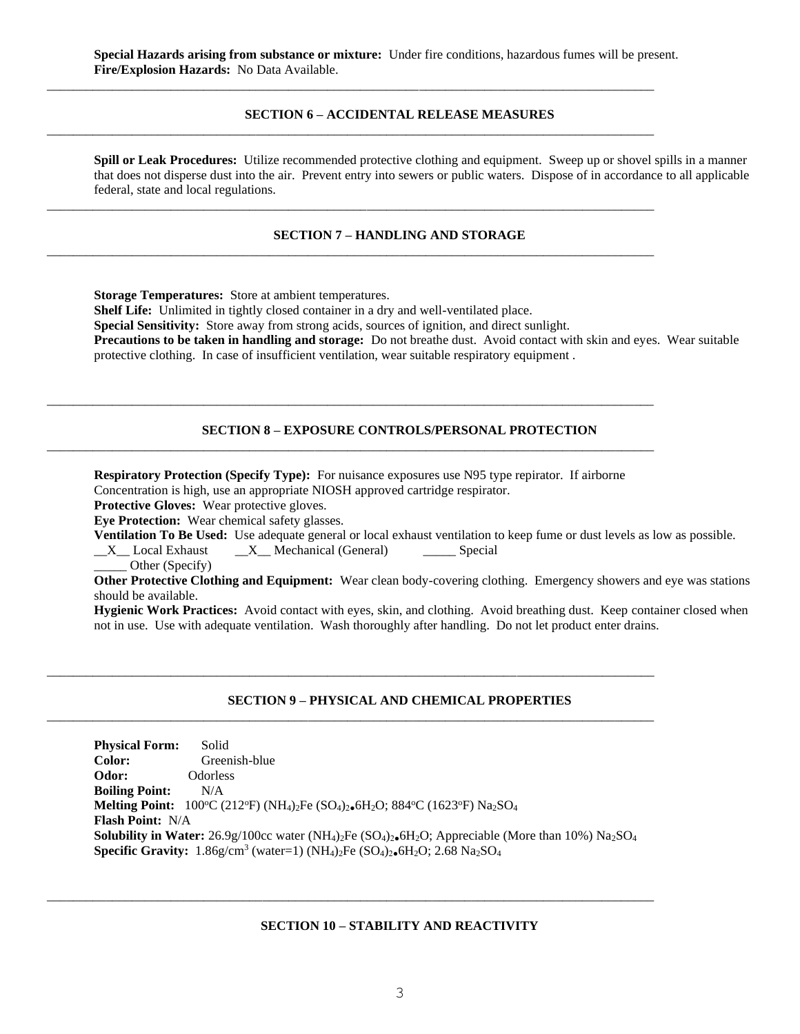**Special Hazards arising from substance or mixture:** Under fire conditions, hazardous fumes will be present. **Fire/Explosion Hazards:** No Data Available.

\_\_\_\_\_\_\_\_\_\_\_\_\_\_\_\_\_\_\_\_\_\_\_\_\_\_\_\_\_\_\_\_\_\_\_\_\_\_\_\_\_\_\_\_\_\_\_\_\_\_\_\_\_\_\_\_\_\_\_\_\_\_\_\_\_\_\_\_\_\_\_\_\_\_\_\_\_\_\_\_\_\_\_\_\_\_\_\_\_\_\_\_\_

\_\_\_\_\_\_\_\_\_\_\_\_\_\_\_\_\_\_\_\_\_\_\_\_\_\_\_\_\_\_\_\_\_\_\_\_\_\_\_\_\_\_\_\_\_\_\_\_\_\_\_\_\_\_\_\_\_\_\_\_\_\_\_\_\_\_\_\_\_\_\_\_\_\_\_\_\_\_\_\_\_\_\_\_\_\_\_\_\_\_\_\_\_

\_\_\_\_\_\_\_\_\_\_\_\_\_\_\_\_\_\_\_\_\_\_\_\_\_\_\_\_\_\_\_\_\_\_\_\_\_\_\_\_\_\_\_\_\_\_\_\_\_\_\_\_\_\_\_\_\_\_\_\_\_\_\_\_\_\_\_\_\_\_\_\_\_\_\_\_\_\_\_\_\_\_\_\_\_\_\_\_\_\_\_\_\_

\_\_\_\_\_\_\_\_\_\_\_\_\_\_\_\_\_\_\_\_\_\_\_\_\_\_\_\_\_\_\_\_\_\_\_\_\_\_\_\_\_\_\_\_\_\_\_\_\_\_\_\_\_\_\_\_\_\_\_\_\_\_\_\_\_\_\_\_\_\_\_\_\_\_\_\_\_\_\_\_\_\_\_\_\_\_\_\_\_\_\_\_\_

### **SECTION 6 – ACCIDENTAL RELEASE MEASURES**

**Spill or Leak Procedures:** Utilize recommended protective clothing and equipment. Sweep up or shovel spills in a manner that does not disperse dust into the air. Prevent entry into sewers or public waters. Dispose of in accordance to all applicable federal, state and local regulations.

### **SECTION 7 – HANDLING AND STORAGE**

**Storage Temperatures:** Store at ambient temperatures.

**Shelf Life:** Unlimited in tightly closed container in a dry and well-ventilated place.

**Special Sensitivity:** Store away from strong acids, sources of ignition, and direct sunlight.

**Precautions to be taken in handling and storage:** Do not breathe dust. Avoid contact with skin and eyes. Wear suitable protective clothing. In case of insufficient ventilation, wear suitable respiratory equipment .

### **SECTION 8 – EXPOSURE CONTROLS/PERSONAL PROTECTION**

**Respiratory Protection (Specify Type):** For nuisance exposures use N95 type repirator. If airborne

 $\_$  ,  $\_$  ,  $\_$  ,  $\_$  ,  $\_$  ,  $\_$  ,  $\_$  ,  $\_$  ,  $\_$  ,  $\_$  ,  $\_$  ,  $\_$  ,  $\_$  ,  $\_$  ,  $\_$  ,  $\_$  ,  $\_$  ,  $\_$  ,  $\_$  ,  $\_$  ,  $\_$  ,  $\_$  ,  $\_$  ,  $\_$  ,  $\_$  ,  $\_$  ,  $\_$  ,  $\_$  ,  $\_$  ,  $\_$  ,  $\_$  ,  $\_$  ,  $\_$  ,  $\_$  ,  $\_$  ,  $\_$  ,  $\_$  ,

 $\overline{a_1}$  ,  $\overline{a_2}$  ,  $\overline{a_3}$  ,  $\overline{a_4}$  ,  $\overline{a_5}$  ,  $\overline{a_6}$  ,  $\overline{a_7}$  ,  $\overline{a_8}$  ,  $\overline{a_9}$  ,  $\overline{a_9}$  ,  $\overline{a_9}$  ,  $\overline{a_9}$  ,  $\overline{a_9}$  ,  $\overline{a_9}$  ,  $\overline{a_9}$  ,  $\overline{a_9}$  ,  $\overline{a_9}$  ,

Concentration is high, use an appropriate NIOSH approved cartridge respirator.

**Protective Gloves:** Wear protective gloves.

**Eye Protection:** Wear chemical safety glasses.

**Ventilation To Be Used:** Use adequate general or local exhaust ventilation to keep fume or dust levels as low as possible.

 $\overline{X}$  Local Exhaust  $\overline{X}$  Mechanical (General) Special

Other (Specify)

**Other Protective Clothing and Equipment:** Wear clean body-covering clothing. Emergency showers and eye was stations should be available.

**Hygienic Work Practices:** Avoid contact with eyes, skin, and clothing. Avoid breathing dust. Keep container closed when not in use. Use with adequate ventilation. Wash thoroughly after handling. Do not let product enter drains.

#### **SECTION 9 – PHYSICAL AND CHEMICAL PROPERTIES**

**Physical Form:** Solid **Color:** Greenish-blue **Odor:** Odorless **Boiling Point:** N/A **Melting Point:** 100°C (212°F) (NH<sub>4</sub>)<sub>2</sub>Fe (SO<sub>4</sub>)<sub>2</sub>,6H<sub>2</sub>O; 884°C (1623°F) Na<sub>2</sub>SO<sub>4</sub> **Flash Point:** N/A **Solubility in Water:**  $26.9g/100cc$  water (NH<sub>4</sub>)<sub>2</sub>Fe (SO<sub>4</sub>)<sub>2</sub>•6H<sub>2</sub>O; Appreciable (More than 10%) Na<sub>2</sub>SO<sub>4</sub> **Specific Gravity:** 1.86g/cm<sup>3</sup> (water=1) (NH<sub>4</sub>)<sub>2</sub>Fe (SO<sub>4</sub>)<sub>2</sub>.6H<sub>2</sub>O; 2.68 Na<sub>2</sub>SO<sub>4</sub>

\_\_\_\_\_\_\_\_\_\_\_\_\_\_\_\_\_\_\_\_\_\_\_\_\_\_\_\_\_\_\_\_\_\_\_\_\_\_\_\_\_\_\_\_\_\_\_\_\_\_\_\_\_\_\_\_\_\_\_\_\_\_\_\_\_\_\_\_\_\_\_\_\_\_\_\_\_\_\_\_\_\_\_\_\_\_\_\_\_\_\_\_\_

\_\_\_\_\_\_\_\_\_\_\_\_\_\_\_\_\_\_\_\_\_\_\_\_\_\_\_\_\_\_\_\_\_\_\_\_\_\_\_\_\_\_\_\_\_\_\_\_\_\_\_\_\_\_\_\_\_\_\_\_\_\_\_\_\_\_\_\_\_\_\_\_\_\_\_\_\_\_\_\_\_\_\_\_\_\_\_\_\_\_\_\_\_

 $\overline{a_1}$  ,  $\overline{a_2}$  ,  $\overline{a_3}$  ,  $\overline{a_4}$  ,  $\overline{a_5}$  ,  $\overline{a_6}$  ,  $\overline{a_7}$  ,  $\overline{a_8}$  ,  $\overline{a_9}$  ,  $\overline{a_9}$  ,  $\overline{a_9}$  ,  $\overline{a_9}$  ,  $\overline{a_9}$  ,  $\overline{a_9}$  ,  $\overline{a_9}$  ,  $\overline{a_9}$  ,  $\overline{a_9}$  ,

### **SECTION 10 – STABILITY AND REACTIVITY**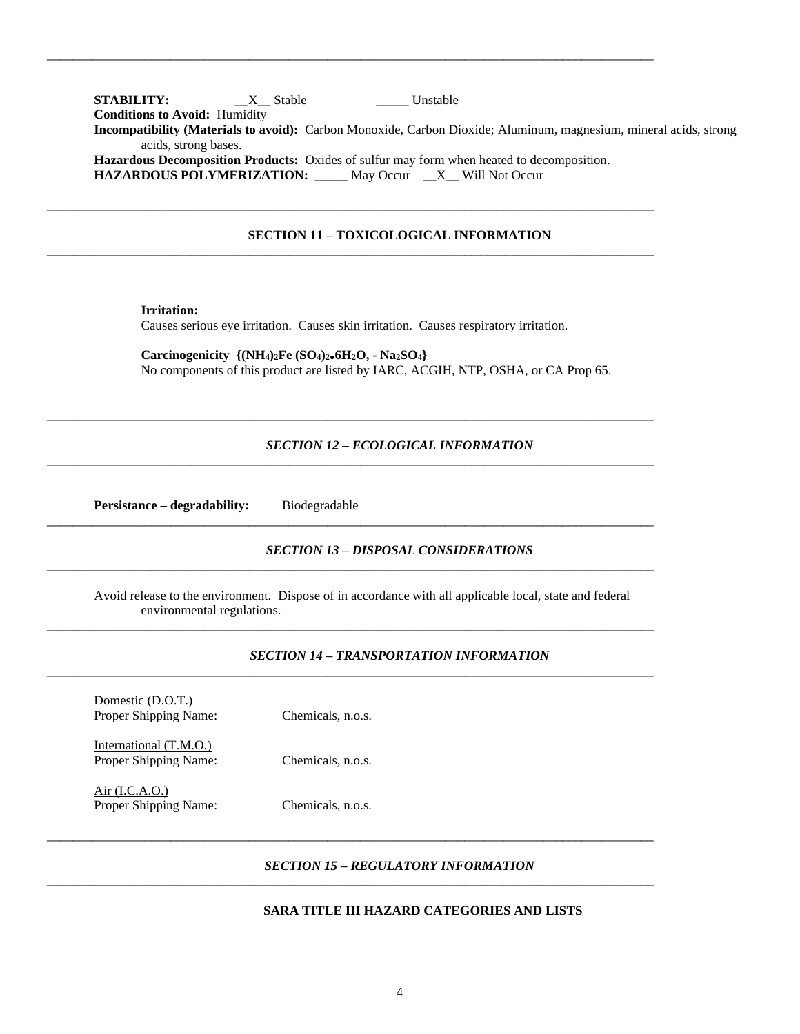**STABILITY:** \_\_X\_\_ Stable \_\_\_\_\_ Unstable **Conditions to Avoid:** Humidity **Incompatibility (Materials to avoid):** Carbon Monoxide, Carbon Dioxide; Aluminum, magnesium, mineral acids, strong acids, strong bases. **Hazardous Decomposition Products:** Oxides of sulfur may form when heated to decomposition. **HAZARDOUS POLYMERIZATION:** \_\_\_\_\_ May Occur \_\_X\_\_ Will Not Occur

### **SECTION 11 – TOXICOLOGICAL INFORMATION**

#### **Irritation:**

Causes serious eye irritation. Causes skin irritation. Causes respiratory irritation.

 $\_$  ,  $\_$  ,  $\_$  ,  $\_$  ,  $\_$  ,  $\_$  ,  $\_$  ,  $\_$  ,  $\_$  ,  $\_$  ,  $\_$  ,  $\_$  ,  $\_$  ,  $\_$  ,  $\_$  ,  $\_$  ,  $\_$  ,  $\_$  ,  $\_$  ,  $\_$  ,  $\_$  ,  $\_$  ,  $\_$  ,  $\_$  ,  $\_$  ,  $\_$  ,  $\_$  ,  $\_$  ,  $\_$  ,  $\_$  ,  $\_$  ,  $\_$  ,  $\_$  ,  $\_$  ,  $\_$  ,  $\_$  ,  $\_$  ,

*\_\_\_\_\_\_\_\_\_\_\_\_\_\_\_\_\_\_\_\_\_\_\_\_\_\_\_\_\_\_\_\_\_\_\_\_\_\_\_\_\_\_\_\_\_\_\_\_\_\_\_\_\_\_\_\_\_\_\_\_\_\_\_\_\_\_\_\_\_\_\_\_\_\_\_\_\_\_\_\_\_\_\_\_\_\_\_\_\_\_\_\_\_*

\_\_\_\_\_\_\_\_\_\_\_\_\_\_\_\_\_\_\_\_\_\_\_\_\_\_\_\_\_\_\_\_\_\_\_\_\_\_\_\_\_\_\_\_\_\_\_\_\_\_\_\_\_\_\_\_\_\_\_\_\_\_\_\_\_\_\_\_\_\_\_\_\_\_\_\_\_\_\_\_\_\_\_\_\_\_\_\_\_\_\_\_\_

*\_\_\_\_\_\_\_\_\_\_\_\_\_\_\_\_\_\_\_\_\_\_\_\_\_\_\_\_\_\_\_\_\_\_\_\_\_\_\_\_\_\_\_\_\_\_\_\_\_\_\_\_\_\_\_\_\_\_\_\_\_\_\_\_\_\_\_\_\_\_\_\_\_\_\_\_\_\_\_\_\_\_\_\_\_\_\_\_\_\_\_\_\_*

 $\_$  ,  $\_$  ,  $\_$  ,  $\_$  ,  $\_$  ,  $\_$  ,  $\_$  ,  $\_$  ,  $\_$  ,  $\_$  ,  $\_$  ,  $\_$  ,  $\_$  ,  $\_$  ,  $\_$  ,  $\_$  ,  $\_$  ,  $\_$  ,  $\_$  ,  $\_$  ,  $\_$  ,  $\_$  ,  $\_$  ,  $\_$  ,  $\_$  ,  $\_$  ,  $\_$  ,  $\_$  ,  $\_$  ,  $\_$  ,  $\_$  ,  $\_$  ,  $\_$  ,  $\_$  ,  $\_$  ,  $\_$  ,  $\_$  ,

*\_\_\_\_\_\_\_\_\_\_\_\_\_\_\_\_\_\_\_\_\_\_\_\_\_\_\_\_\_\_\_\_\_\_\_\_\_\_\_\_\_\_\_\_\_\_\_\_\_\_\_\_\_\_\_\_\_\_\_\_\_\_\_\_\_\_\_\_\_\_\_\_\_\_\_\_\_\_\_\_\_\_\_\_\_\_\_\_\_\_\_\_\_*

 $\_$  ,  $\_$  ,  $\_$  ,  $\_$  ,  $\_$  ,  $\_$  ,  $\_$  ,  $\_$  ,  $\_$  ,  $\_$  ,  $\_$  ,  $\_$  ,  $\_$  ,  $\_$  ,  $\_$  ,  $\_$  ,  $\_$  ,  $\_$  ,  $\_$  ,  $\_$  ,  $\_$  ,  $\_$  ,  $\_$  ,  $\_$  ,  $\_$  ,  $\_$  ,  $\_$  ,  $\_$  ,  $\_$  ,  $\_$  ,  $\_$  ,  $\_$  ,  $\_$  ,  $\_$  ,  $\_$  ,  $\_$  ,  $\_$  ,

\_\_\_\_\_\_\_\_\_\_\_\_\_\_\_\_\_\_\_\_\_\_\_\_\_\_\_\_\_\_\_\_\_\_\_\_\_\_\_\_\_\_\_\_\_\_\_\_\_\_\_\_\_\_\_\_\_\_\_\_\_\_\_\_\_\_\_\_\_\_\_\_\_\_\_\_\_\_\_\_\_\_\_\_\_\_\_\_\_\_\_\_\_

\_\_\_\_\_\_\_\_\_\_\_\_\_\_\_\_\_\_\_\_\_\_\_\_\_\_\_\_\_\_\_\_\_\_\_\_\_\_\_\_\_\_\_\_\_\_\_\_\_\_\_\_\_\_\_\_\_\_\_\_\_\_\_\_\_\_\_\_\_\_\_\_\_\_\_\_\_\_\_\_\_\_\_\_\_\_\_\_\_\_\_\_\_

**Carcinogenicity {(NH4)2Fe (SO4)2●6H2O, - Na2SO4}** No components of this product are listed by IARC, ACGIH, NTP, OSHA, or CA Prop 65.

### *SECTION 12 – ECOLOGICAL INFORMATION*

**Persistance – degradability:** Biodegradable

# *SECTION 13 – DISPOSAL CONSIDERATIONS*

Avoid release to the environment. Dispose of in accordance with all applicable local, state and federal environmental regulations.

### *SECTION 14 – TRANSPORTATION INFORMATION*

Domestic (D.O.T.) Proper Shipping Name: Chemicals, n.o.s.

International (T.M.O.) Proper Shipping Name: Chemicals, n.o.s.

Air (I.C.A.O.) Proper Shipping Name: Chemicals, n.o.s.

\_\_\_\_\_\_\_\_\_\_\_\_\_\_\_\_\_\_\_\_\_\_\_\_\_\_\_\_\_\_\_\_\_\_\_\_\_\_\_\_\_\_\_\_\_\_\_\_\_\_\_\_\_\_\_\_\_\_\_\_\_\_\_\_\_\_\_\_\_\_\_\_\_\_\_\_\_\_\_\_\_\_\_\_\_\_\_\_\_\_\_\_\_

*\_\_\_\_\_\_\_\_\_\_\_\_\_\_\_\_\_\_\_\_\_\_\_\_\_\_\_\_\_\_\_\_\_\_\_\_\_\_\_\_\_\_\_\_\_\_\_\_\_\_\_\_\_\_\_\_\_\_\_\_\_\_\_\_\_\_\_\_\_\_\_\_\_\_\_\_\_\_\_\_\_\_\_\_\_\_\_\_\_\_\_\_\_*

# *SECTION 15 – REGULATORY INFORMATION*

### **SARA TITLE III HAZARD CATEGORIES AND LISTS**